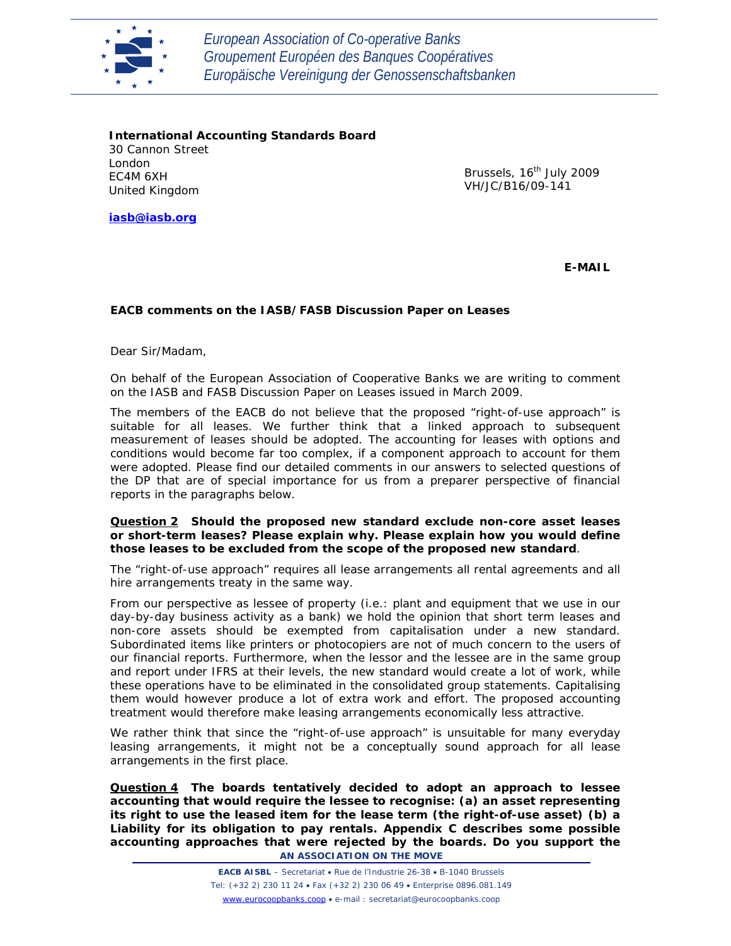

*European Association of Co-operative Banks Groupement Européen des Banques Coopératives Europäische Vereinigung der Genossenschaftsbanken*

**International Accounting Standards Board** 30 Cannon Street London EC4M 6XH United Kingdom

Brussels, 16<sup>th</sup> July 2009 VH/JC/B16/09-141

**iasb@iasb.org**

**E-MAIL**

### **EACB comments on the IASB/FASB Discussion Paper on Leases**

Dear Sir/Madam,

On behalf of the European Association of Cooperative Banks we are writing to comment on the IASB and FASB Discussion Paper on Leases issued in March 2009.

The members of the EACB do not believe that the proposed "right-of-use approach" is suitable for all leases. We further think that a linked approach to subsequent measurement of leases should be adopted. The accounting for leases with options and conditions would become far too complex, if a component approach to account for them were adopted. Please find our detailed comments in our answers to selected questions of the DP that are of special importance for us from a preparer perspective of financial reports in the paragraphs below.

#### *Question 2 Should the proposed new standard exclude non-core asset leases or short-term leases? Please explain why. Please explain how you would define those leases to be excluded from the scope of the proposed new standard*.

The "right-of-use approach" requires all lease arrangements all rental agreements and all hire arrangements treaty in the same way.

From our perspective as lessee of property (i.e.: plant and equipment that we use in our day-by-day business activity as a bank) we hold the opinion that short term leases and non-core assets should be exempted from capitalisation under a new standard. Subordinated items like printers or photocopiers are not of much concern to the users of our financial reports. Furthermore, when the lessor and the lessee are in the same group and report under IFRS at their levels, the new standard would create a lot of work, while these operations have to be eliminated in the consolidated group statements. Capitalising them would however produce a lot of extra work and effort. The proposed accounting treatment would therefore make leasing arrangements economically less attractive.

We rather think that since the "right-of-use approach" is unsuitable for many everyday leasing arrangements, it might not be a conceptually sound approach for all lease arrangements in the first place.

**AN ASSOCIATION ON THE MOVE**  *Question 4 The boards tentatively decided to adopt an approach to lessee accounting that would require the lessee to recognise: (a) an asset representing its right to use the leased item for the lease term (the right-of-use asset) (b) a Liability for its obligation to pay rentals. Appendix C describes some possible accounting approaches that were rejected by the boards. Do you support the*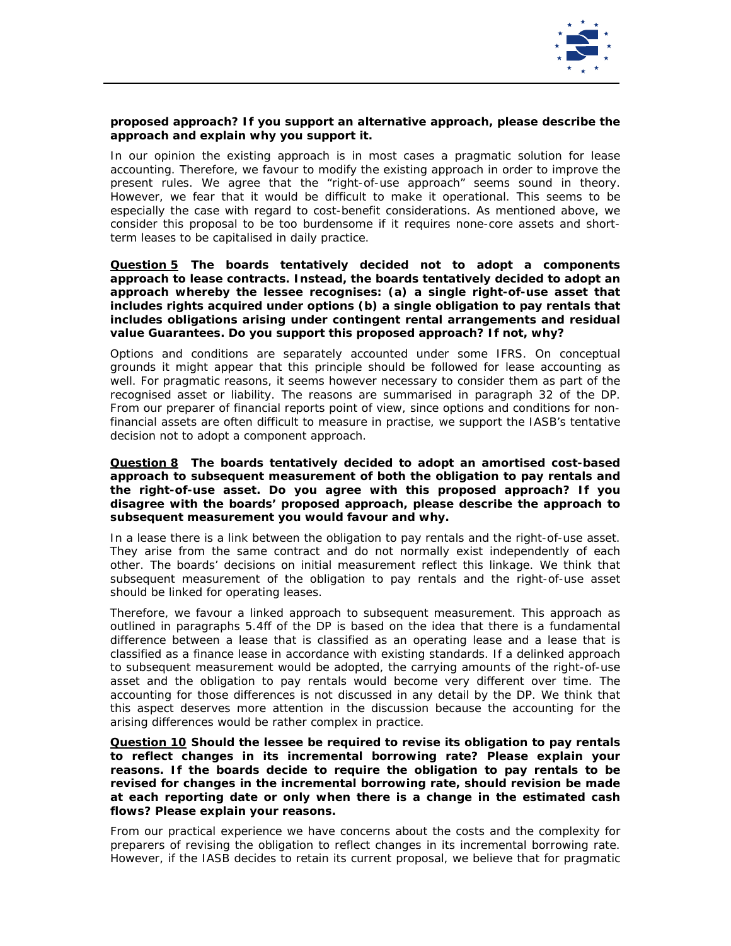

## *proposed approach? If you support an alternative approach, please describe the approach and explain why you support it.*

In our opinion the existing approach is in most cases a pragmatic solution for lease accounting. Therefore, we favour to modify the existing approach in order to improve the present rules. We agree that the "right-of-use approach" seems sound in theory. However, we fear that it would be difficult to make it operational. This seems to be especially the case with regard to cost-benefit considerations. As mentioned above, we consider this proposal to be too burdensome if it requires none-core assets and shortterm leases to be capitalised in daily practice.

#### *Question 5 The boards tentatively decided not to adopt a components approach to lease contracts. Instead, the boards tentatively decided to adopt an approach whereby the lessee recognises: (a) a single right-of-use asset that includes rights acquired under options (b) a single obligation to pay rentals that includes obligations arising under contingent rental arrangements and residual value Guarantees. Do you support this proposed approach? If not, why?*

Options and conditions are separately accounted under some IFRS. On conceptual grounds it might appear that this principle should be followed for lease accounting as well. For pragmatic reasons, it seems however necessary to consider them as part of the recognised asset or liability. The reasons are summarised in paragraph 32 of the DP. From our preparer of financial reports point of view, since options and conditions for nonfinancial assets are often difficult to measure in practise, we support the IASB's tentative decision not to adopt a component approach.

#### *Question 8 The boards tentatively decided to adopt an amortised cost-based approach to subsequent measurement of both the obligation to pay rentals and the right-of-use asset. Do you agree with this proposed approach? If you disagree with the boards' proposed approach, please describe the approach to subsequent measurement you would favour and why.*

In a lease there is a link between the obligation to pay rentals and the right-of-use asset. They arise from the same contract and do not normally exist independently of each other. The boards' decisions on initial measurement reflect this linkage. We think that subsequent measurement of the obligation to pay rentals and the right-of-use asset should be linked for operating leases.

Therefore, we favour a linked approach to subsequent measurement. This approach as outlined in paragraphs 5.4ff of the DP is based on the idea that there is a fundamental difference between a lease that is classified as an operating lease and a lease that is classified as a finance lease in accordance with existing standards. If a delinked approach to subsequent measurement would be adopted, the carrying amounts of the right-of-use asset and the obligation to pay rentals would become very different over time. The accounting for those differences is not discussed in any detail by the DP. We think that this aspect deserves more attention in the discussion because the accounting for the arising differences would be rather complex in practice.

#### *Question 10 Should the lessee be required to revise its obligation to pay rentals to reflect changes in its incremental borrowing rate? Please explain your reasons. If the boards decide to require the obligation to pay rentals to be revised for changes in the incremental borrowing rate, should revision be made at each reporting date or only when there is a change in the estimated cash flows? Please explain your reasons.*

From our practical experience we have concerns about the costs and the complexity for preparers of revising the obligation to reflect changes in its incremental borrowing rate. However, if the IASB decides to retain its current proposal, we believe that for pragmatic